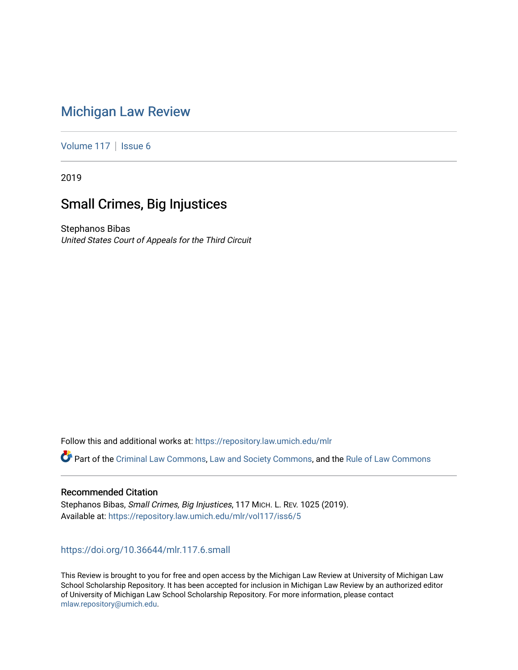# [Michigan Law Review](https://repository.law.umich.edu/mlr)

[Volume 117](https://repository.law.umich.edu/mlr/vol117) | [Issue 6](https://repository.law.umich.edu/mlr/vol117/iss6)

2019

# Small Crimes, Big Injustices

Stephanos Bibas United States Court of Appeals for the Third Circuit

Follow this and additional works at: [https://repository.law.umich.edu/mlr](https://repository.law.umich.edu/mlr?utm_source=repository.law.umich.edu%2Fmlr%2Fvol117%2Fiss6%2F5&utm_medium=PDF&utm_campaign=PDFCoverPages) 

Part of the [Criminal Law Commons,](http://network.bepress.com/hgg/discipline/912?utm_source=repository.law.umich.edu%2Fmlr%2Fvol117%2Fiss6%2F5&utm_medium=PDF&utm_campaign=PDFCoverPages) [Law and Society Commons](http://network.bepress.com/hgg/discipline/853?utm_source=repository.law.umich.edu%2Fmlr%2Fvol117%2Fiss6%2F5&utm_medium=PDF&utm_campaign=PDFCoverPages), and the Rule of Law Commons

# Recommended Citation

Stephanos Bibas, Small Crimes, Big Injustices, 117 MICH. L. REV. 1025 (2019). Available at: [https://repository.law.umich.edu/mlr/vol117/iss6/5](https://repository.law.umich.edu/mlr/vol117/iss6/5?utm_source=repository.law.umich.edu%2Fmlr%2Fvol117%2Fiss6%2F5&utm_medium=PDF&utm_campaign=PDFCoverPages) 

<https://doi.org/10.36644/mlr.117.6.small>

This Review is brought to you for free and open access by the Michigan Law Review at University of Michigan Law School Scholarship Repository. It has been accepted for inclusion in Michigan Law Review by an authorized editor of University of Michigan Law School Scholarship Repository. For more information, please contact [mlaw.repository@umich.edu.](mailto:mlaw.repository@umich.edu)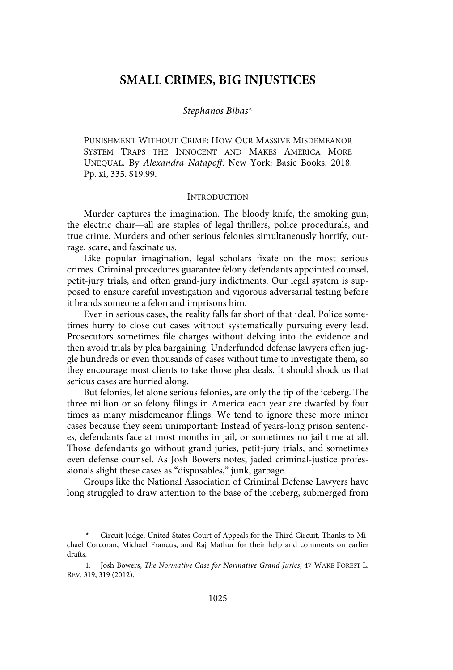# **SMALL CRIMES, BIG INJUSTICES**

# Stephanos Bibas\*

PUNISHMENT WITHOUT CRIME: HOW OUR MASSIVE MISDEMEANOR SYSTEM TRAPS THE INNOCENT AND MAKES AMERICA MORE UNEQUAL. By Alexandra Natapoff. New York: Basic Books. 2018. Pp. xi, 335. \$19.99.

### **INTRODUCTION**

Murder captures the imagination. The bloody knife, the smoking gun, the electric chair—all are staples of legal thrillers, police procedurals, and true crime. Murders and other serious felonies simultaneously horrify, outrage, scare, and fascinate us.

Like popular imagination, legal scholars fixate on the most serious crimes. Criminal procedures guarantee felony defendants appointed counsel, petit-jury trials, and often grand-jury indictments. Our legal system is supposed to ensure careful investigation and vigorous adversarial testing before it brands someone a felon and imprisons him.

Even in serious cases, the reality falls far short of that ideal. Police sometimes hurry to close out cases without systematically pursuing every lead. Prosecutors sometimes file charges without delving into the evidence and then avoid trials by plea bargaining. Underfunded defense lawyers often juggle hundreds or even thousands of cases without time to investigate them, so they encourage most clients to take those plea deals. It should shock us that serious cases are hurried along.

But felonies, let alone serious felonies, are only the tip of the iceberg. The three million or so felony filings in America each year are dwarfed by four times as many misdemeanor filings. We tend to ignore these more minor cases because they seem unimportant: Instead of years-long prison sentences, defendants face at most months in jail, or sometimes no jail time at all. Those defendants go without grand juries, petit-jury trials, and sometimes even defense counsel. As Josh Bowers notes, jaded criminal-justice professionals slight these cases as "disposables," junk, garbage.<sup>1</sup>

Groups like the National Association of Criminal Defense Lawyers have long struggled to draw attention to the base of the iceberg, submerged from

<sup>\*</sup> Circuit Judge, United States Court of Appeals for the Third Circuit. Thanks to Michael Corcoran, Michael Francus, and Raj Mathur for their help and comments on earlier drafts.

<sup>1.</sup> Josh Bowers, The Normative Case for Normative Grand Juries, 47 WAKE FOREST L. REV. 319, 319 (2012).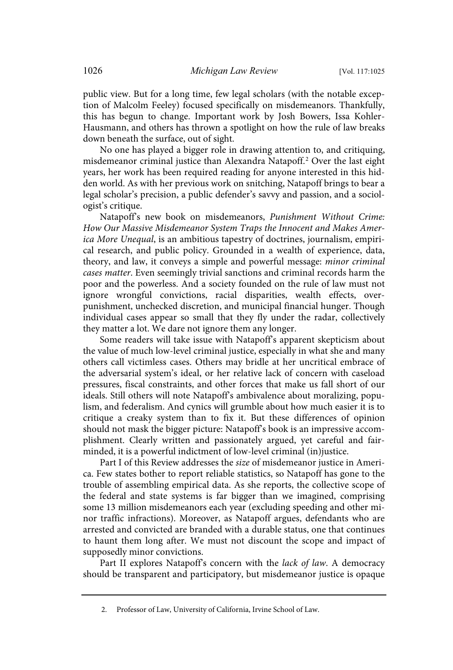public view. But for a long time, few legal scholars (with the notable exception of Malcolm Feeley) focused specifically on misdemeanors. Thankfully, this has begun to change. Important work by Josh Bowers, Issa Kohler-Hausmann, and others has thrown a spotlight on how the rule of law breaks down beneath the surface, out of sight.

No one has played a bigger role in drawing attention to, and critiquing, misdemeanor criminal justice than Alexandra Natapoff.<sup>2</sup> Over the last eight years, her work has been required reading for anyone interested in this hidden world. As with her previous work on snitching, Natapoff brings to bear a legal scholar's precision, a public defender's savvy and passion, and a sociologist's critique.

Natapoff's new book on misdemeanors, Punishment Without Crime: How Our Massive Misdemeanor System Traps the Innocent and Makes America More Unequal, is an ambitious tapestry of doctrines, journalism, empirical research, and public policy. Grounded in a wealth of experience, data, theory, and law, it conveys a simple and powerful message: minor criminal cases matter. Even seemingly trivial sanctions and criminal records harm the poor and the powerless. And a society founded on the rule of law must not ignore wrongful convictions, racial disparities, wealth effects, overpunishment, unchecked discretion, and municipal financial hunger. Though individual cases appear so small that they fly under the radar, collectively they matter a lot. We dare not ignore them any longer.

Some readers will take issue with Natapoff's apparent skepticism about the value of much low-level criminal justice, especially in what she and many others call victimless cases. Others may bridle at her uncritical embrace of the adversarial system's ideal, or her relative lack of concern with caseload pressures, fiscal constraints, and other forces that make us fall short of our ideals. Still others will note Natapoff's ambivalence about moralizing, populism, and federalism. And cynics will grumble about how much easier it is to critique a creaky system than to fix it. But these differences of opinion should not mask the bigger picture: Natapoff's book is an impressive accomplishment. Clearly written and passionately argued, yet careful and fairminded, it is a powerful indictment of low-level criminal (in)justice.

Part I of this Review addresses the size of misdemeanor justice in America. Few states bother to report reliable statistics, so Natapoff has gone to the trouble of assembling empirical data. As she reports, the collective scope of the federal and state systems is far bigger than we imagined, comprising some 13 million misdemeanors each year (excluding speeding and other minor traffic infractions). Moreover, as Natapoff argues, defendants who are arrested and convicted are branded with a durable status, one that continues to haunt them long after. We must not discount the scope and impact of supposedly minor convictions.

Part II explores Natapoff's concern with the lack of law. A democracy should be transparent and participatory, but misdemeanor justice is opaque

<sup>2.</sup> Professor of Law, University of California, Irvine School of Law.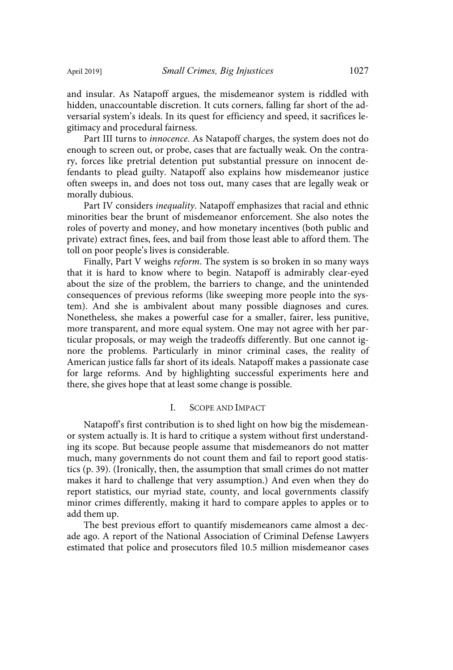and insular. As Natapoff argues, the misdemeanor system is riddled with hidden, unaccountable discretion. It cuts corners, falling far short of the adversarial system's ideals. In its quest for efficiency and speed, it sacrifices legitimacy and procedural fairness.

Part III turns to innocence. As Natapoff charges, the system does not do enough to screen out, or probe, cases that are factually weak. On the contrary, forces like pretrial detention put substantial pressure on innocent defendants to plead guilty. Natapoff also explains how misdemeanor justice often sweeps in, and does not toss out, many cases that are legally weak or morally dubious.

Part IV considers inequality. Natapoff emphasizes that racial and ethnic minorities bear the brunt of misdemeanor enforcement. She also notes the roles of poverty and money, and how monetary incentives (both public and private) extract fines, fees, and bail from those least able to afford them. The toll on poor people's lives is considerable.

Finally, Part V weighs reform. The system is so broken in so many ways that it is hard to know where to begin. Natapoff is admirably clear-eyed about the size of the problem, the barriers to change, and the unintended consequences of previous reforms (like sweeping more people into the system). And she is ambivalent about many possible diagnoses and cures. Nonetheless, she makes a powerful case for a smaller, fairer, less punitive, more transparent, and more equal system. One may not agree with her particular proposals, or may weigh the tradeoffs differently. But one cannot ignore the problems. Particularly in minor criminal cases, the reality of American justice falls far short of its ideals. Natapoff makes a passionate case for large reforms. And by highlighting successful experiments here and there, she gives hope that at least some change is possible.

# I. SCOPE AND IMPACT

Natapoff's first contribution is to shed light on how big the misdemeanor system actually is. It is hard to critique a system without first understanding its scope. But because people assume that misdemeanors do not matter much, many governments do not count them and fail to report good statistics (p. 39). (Ironically, then, the assumption that small crimes do not matter makes it hard to challenge that very assumption.) And even when they do report statistics, our myriad state, county, and local governments classify minor crimes differently, making it hard to compare apples to apples or to add them up.

The best previous effort to quantify misdemeanors came almost a decade ago. A report of the National Association of Criminal Defense Lawyers estimated that police and prosecutors filed 10.5 million misdemeanor cases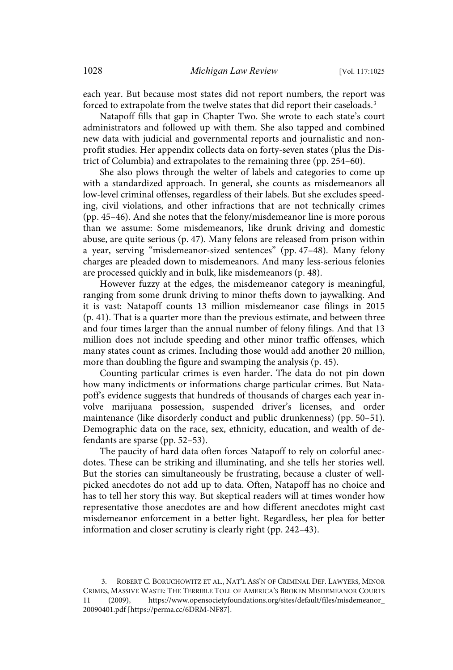each year. But because most states did not report numbers, the report was forced to extrapolate from the twelve states that did report their caseloads.<sup>3</sup>

Natapoff fills that gap in Chapter Two. She wrote to each state's court administrators and followed up with them. She also tapped and combined new data with judicial and governmental reports and journalistic and nonprofit studies. Her appendix collects data on forty-seven states (plus the District of Columbia) and extrapolates to the remaining three (pp. 254–60).

She also plows through the welter of labels and categories to come up with a standardized approach. In general, she counts as misdemeanors all low-level criminal offenses, regardless of their labels. But she excludes speeding, civil violations, and other infractions that are not technically crimes (pp. 45–46). And she notes that the felony/misdemeanor line is more porous than we assume: Some misdemeanors, like drunk driving and domestic abuse, are quite serious (p. 47). Many felons are released from prison within a year, serving "misdemeanor-sized sentences" (pp. 47–48). Many felony charges are pleaded down to misdemeanors. And many less-serious felonies are processed quickly and in bulk, like misdemeanors (p. 48).

However fuzzy at the edges, the misdemeanor category is meaningful, ranging from some drunk driving to minor thefts down to jaywalking. And it is vast: Natapoff counts 13 million misdemeanor case filings in 2015 (p. 41). That is a quarter more than the previous estimate, and between three and four times larger than the annual number of felony filings. And that 13 million does not include speeding and other minor traffic offenses, which many states count as crimes. Including those would add another 20 million, more than doubling the figure and swamping the analysis (p. 45).

Counting particular crimes is even harder. The data do not pin down how many indictments or informations charge particular crimes. But Natapoff's evidence suggests that hundreds of thousands of charges each year involve marijuana possession, suspended driver's licenses, and order maintenance (like disorderly conduct and public drunkenness) (pp. 50–51). Demographic data on the race, sex, ethnicity, education, and wealth of defendants are sparse (pp. 52–53).

The paucity of hard data often forces Natapoff to rely on colorful anecdotes. These can be striking and illuminating, and she tells her stories well. But the stories can simultaneously be frustrating, because a cluster of wellpicked anecdotes do not add up to data. Often, Natapoff has no choice and has to tell her story this way. But skeptical readers will at times wonder how representative those anecdotes are and how different anecdotes might cast misdemeanor enforcement in a better light. Regardless, her plea for better information and closer scrutiny is clearly right (pp. 242–43).

<sup>3.</sup> ROBERT C. BORUCHOWITZ ET AL., NAT'L ASS'N OF CRIMINAL DEF. LAWYERS, MINOR CRIMES, MASSIVE WASTE: THE TERRIBLE TOLL OF AMERICA'S BROKEN MISDEMEANOR COURTS (2009), https://www.opensocietyfoundations.org/sites/default/files/misdemeanor\_ 20090401.pdf [https://perma.cc/6DRM-NF87].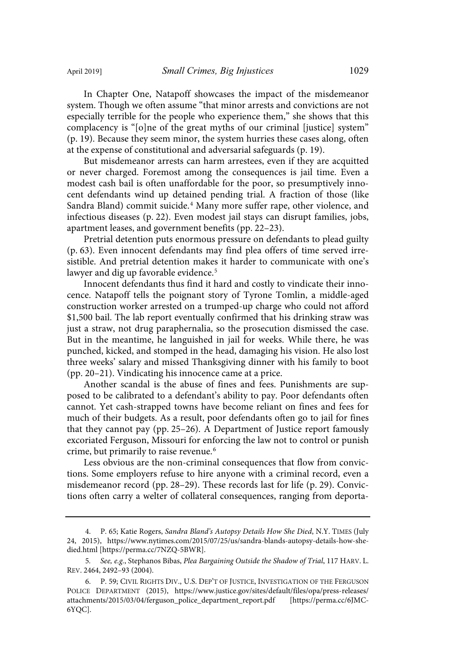In Chapter One, Natapoff showcases the impact of the misdemeanor system. Though we often assume "that minor arrests and convictions are not especially terrible for the people who experience them," she shows that this complacency is "[o]ne of the great myths of our criminal [justice] system" (p. 19). Because they seem minor, the system hurries these cases along, often at the expense of constitutional and adversarial safeguards (p. 19).

But misdemeanor arrests can harm arrestees, even if they are acquitted or never charged. Foremost among the consequences is jail time. Even a modest cash bail is often unaffordable for the poor, so presumptively innocent defendants wind up detained pending trial. A fraction of those (like Sandra Bland) commit suicide.<sup>4</sup> Many more suffer rape, other violence, and infectious diseases (p. 22). Even modest jail stays can disrupt families, jobs, apartment leases, and government benefits (pp. 22–23).

Pretrial detention puts enormous pressure on defendants to plead guilty (p. 63). Even innocent defendants may find plea offers of time served irresistible. And pretrial detention makes it harder to communicate with one's lawyer and dig up favorable evidence.<sup>5</sup>

Innocent defendants thus find it hard and costly to vindicate their innocence. Natapoff tells the poignant story of Tyrone Tomlin, a middle-aged construction worker arrested on a trumped-up charge who could not afford \$1,500 bail. The lab report eventually confirmed that his drinking straw was just a straw, not drug paraphernalia, so the prosecution dismissed the case. But in the meantime, he languished in jail for weeks. While there, he was punched, kicked, and stomped in the head, damaging his vision. He also lost three weeks' salary and missed Thanksgiving dinner with his family to boot (pp. 20–21). Vindicating his innocence came at a price.

Another scandal is the abuse of fines and fees. Punishments are supposed to be calibrated to a defendant's ability to pay. Poor defendants often cannot. Yet cash-strapped towns have become reliant on fines and fees for much of their budgets. As a result, poor defendants often go to jail for fines that they cannot pay (pp. 25–26). A Department of Justice report famously excoriated Ferguson, Missouri for enforcing the law not to control or punish crime, but primarily to raise revenue.<sup>6</sup>

Less obvious are the non-criminal consequences that flow from convictions. Some employers refuse to hire anyone with a criminal record, even a misdemeanor record (pp. 28–29). These records last for life (p. 29). Convictions often carry a welter of collateral consequences, ranging from deporta-

<sup>4.</sup> P. 65; Katie Rogers, Sandra Bland's Autopsy Details How She Died, N.Y. TIMES (July 24, 2015), https://www.nytimes.com/2015/07/25/us/sandra-blands-autopsy-details-how-shedied.html [https://perma.cc/7NZQ-5BWR].

<sup>5.</sup> See, e.g., Stephanos Bibas, Plea Bargaining Outside the Shadow of Trial, 117 HARV. L. REV. 2464, 2492–93 (2004).

<sup>6.</sup> P. 59; CIVIL RIGHTS DIV., U.S. DEP'T OF JUSTICE, INVESTIGATION OF THE FERGUSON POLICE DEPARTMENT (2015), https://www.justice.gov/sites/default/files/opa/press-releases/ attachments/2015/03/04/ferguson\_police\_department\_report.pdf [https://perma.cc/6JMC-6YQC].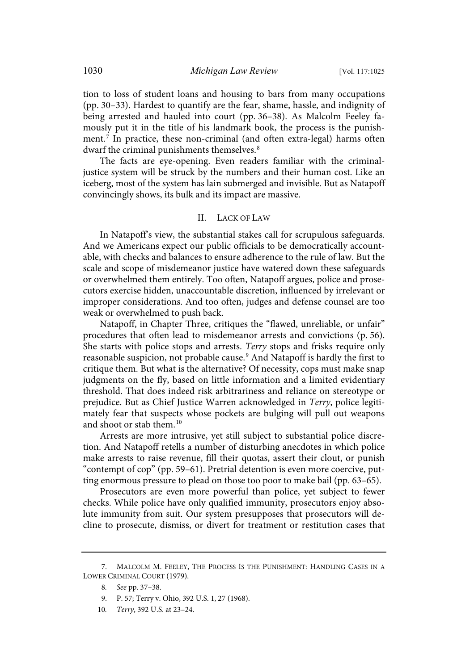tion to loss of student loans and housing to bars from many occupations (pp. 30–33). Hardest to quantify are the fear, shame, hassle, and indignity of being arrested and hauled into court (pp. 36–38). As Malcolm Feeley famously put it in the title of his landmark book, the process is the punishment.<sup>7</sup> In practice, these non-criminal (and often extra-legal) harms often dwarf the criminal punishments themselves.<sup>8</sup>

The facts are eye-opening. Even readers familiar with the criminaljustice system will be struck by the numbers and their human cost. Like an iceberg, most of the system has lain submerged and invisible. But as Natapoff convincingly shows, its bulk and its impact are massive.

### II. LACK OF LAW

In Natapoff's view, the substantial stakes call for scrupulous safeguards. And we Americans expect our public officials to be democratically accountable, with checks and balances to ensure adherence to the rule of law. But the scale and scope of misdemeanor justice have watered down these safeguards or overwhelmed them entirely. Too often, Natapoff argues, police and prosecutors exercise hidden, unaccountable discretion, influenced by irrelevant or improper considerations. And too often, judges and defense counsel are too weak or overwhelmed to push back.

Natapoff, in Chapter Three, critiques the "flawed, unreliable, or unfair" procedures that often lead to misdemeanor arrests and convictions (p. 56). She starts with police stops and arrests. Terry stops and frisks require only reasonable suspicion, not probable cause.<sup>9</sup> And Natapoff is hardly the first to critique them. But what is the alternative? Of necessity, cops must make snap judgments on the fly, based on little information and a limited evidentiary threshold. That does indeed risk arbitrariness and reliance on stereotype or prejudice. But as Chief Justice Warren acknowledged in Terry, police legitimately fear that suspects whose pockets are bulging will pull out weapons and shoot or stab them.<sup>10</sup>

Arrests are more intrusive, yet still subject to substantial police discretion. And Natapoff retells a number of disturbing anecdotes in which police make arrests to raise revenue, fill their quotas, assert their clout, or punish "contempt of cop" (pp. 59–61). Pretrial detention is even more coercive, putting enormous pressure to plead on those too poor to make bail (pp. 63–65).

Prosecutors are even more powerful than police, yet subject to fewer checks. While police have only qualified immunity, prosecutors enjoy absolute immunity from suit. Our system presupposes that prosecutors will decline to prosecute, dismiss, or divert for treatment or restitution cases that

<sup>7.</sup> MALCOLM M. FEELEY, THE PROCESS IS THE PUNISHMENT: HANDLING CASES IN A LOWER CRIMINAL COURT (1979).

<sup>8.</sup> See pp. 37–38.

<sup>9.</sup> P. 57; Terry v. Ohio, 392 U.S. 1, 27 (1968).

<sup>10.</sup> Terry, 392 U.S. at 23-24.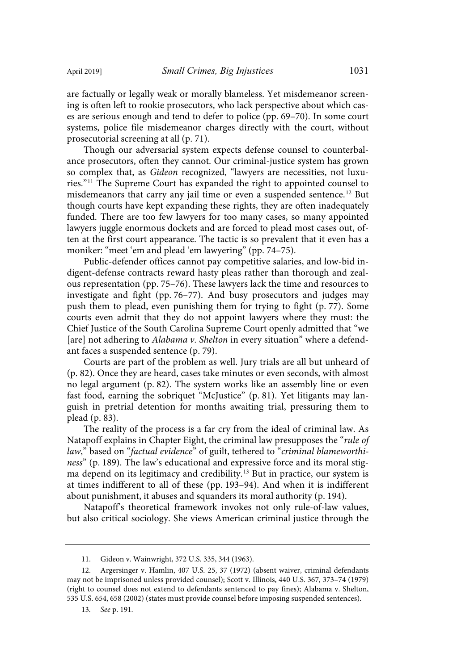are factually or legally weak or morally blameless. Yet misdemeanor screening is often left to rookie prosecutors, who lack perspective about which cases are serious enough and tend to defer to police (pp. 69–70). In some court systems, police file misdemeanor charges directly with the court, without prosecutorial screening at all (p. 71).

Though our adversarial system expects defense counsel to counterbalance prosecutors, often they cannot. Our criminal-justice system has grown so complex that, as Gideon recognized, "lawyers are necessities, not luxuries."<sup>11</sup> The Supreme Court has expanded the right to appointed counsel to misdemeanors that carry any jail time or even a suspended sentence.<sup>12</sup> But though courts have kept expanding these rights, they are often inadequately funded. There are too few lawyers for too many cases, so many appointed lawyers juggle enormous dockets and are forced to plead most cases out, often at the first court appearance. The tactic is so prevalent that it even has a moniker: "meet 'em and plead 'em lawyering" (pp. 74–75).

Public-defender offices cannot pay competitive salaries, and low-bid indigent-defense contracts reward hasty pleas rather than thorough and zealous representation (pp. 75–76). These lawyers lack the time and resources to investigate and fight (pp. 76–77). And busy prosecutors and judges may push them to plead, even punishing them for trying to fight (p. 77). Some courts even admit that they do not appoint lawyers where they must: the Chief Justice of the South Carolina Supreme Court openly admitted that "we [are] not adhering to Alabama v. Shelton in every situation" where a defendant faces a suspended sentence (p. 79).

Courts are part of the problem as well. Jury trials are all but unheard of (p. 82). Once they are heard, cases take minutes or even seconds, with almost no legal argument (p. 82). The system works like an assembly line or even fast food, earning the sobriquet "McJustice" (p. 81). Yet litigants may languish in pretrial detention for months awaiting trial, pressuring them to plead (p. 83).

The reality of the process is a far cry from the ideal of criminal law. As Natapoff explains in Chapter Eight, the criminal law presupposes the "rule of law," based on "factual evidence" of guilt, tethered to "criminal blameworthiness" (p. 189). The law's educational and expressive force and its moral stigma depend on its legitimacy and credibility.<sup>13</sup> But in practice, our system is at times indifferent to all of these (pp. 193–94). And when it is indifferent about punishment, it abuses and squanders its moral authority (p. 194).

Natapoff's theoretical framework invokes not only rule-of-law values, but also critical sociology. She views American criminal justice through the

<sup>11.</sup> Gideon v. Wainwright, 372 U.S. 335, 344 (1963).

<sup>12.</sup> Argersinger v. Hamlin, 407 U.S. 25, 37 (1972) (absent waiver, criminal defendants may not be imprisoned unless provided counsel); Scott v. Illinois, 440 U.S. 367, 373–74 (1979) (right to counsel does not extend to defendants sentenced to pay fines); Alabama v. Shelton, 535 U.S. 654, 658 (2002) (states must provide counsel before imposing suspended sentences).

<sup>13.</sup> See p. 191.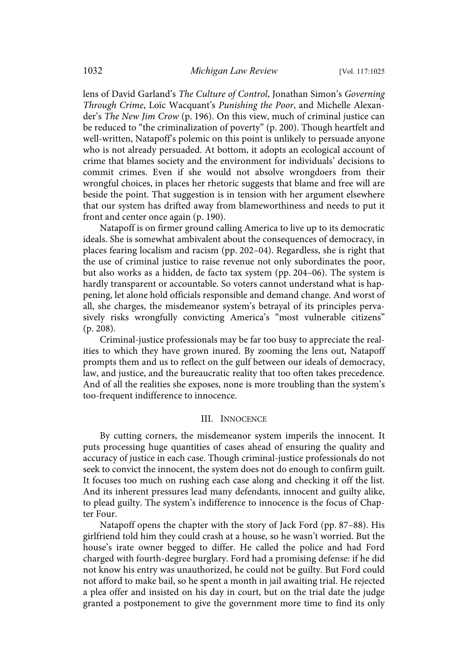lens of David Garland's The Culture of Control, Jonathan Simon's Governing Through Crime, Loïc Wacquant's Punishing the Poor, and Michelle Alexander's The New Jim Crow (p. 196). On this view, much of criminal justice can be reduced to "the criminalization of poverty" (p. 200). Though heartfelt and well-written, Natapoff's polemic on this point is unlikely to persuade anyone who is not already persuaded. At bottom, it adopts an ecological account of crime that blames society and the environment for individuals' decisions to commit crimes. Even if she would not absolve wrongdoers from their wrongful choices, in places her rhetoric suggests that blame and free will are beside the point. That suggestion is in tension with her argument elsewhere that our system has drifted away from blameworthiness and needs to put it front and center once again (p. 190).

Natapoff is on firmer ground calling America to live up to its democratic ideals. She is somewhat ambivalent about the consequences of democracy, in places fearing localism and racism (pp. 202–04). Regardless, she is right that the use of criminal justice to raise revenue not only subordinates the poor, but also works as a hidden, de facto tax system (pp. 204–06). The system is hardly transparent or accountable. So voters cannot understand what is happening, let alone hold officials responsible and demand change. And worst of all, she charges, the misdemeanor system's betrayal of its principles pervasively risks wrongfully convicting America's "most vulnerable citizens" (p. 208).

Criminal-justice professionals may be far too busy to appreciate the realities to which they have grown inured. By zooming the lens out, Natapoff prompts them and us to reflect on the gulf between our ideals of democracy, law, and justice, and the bureaucratic reality that too often takes precedence. And of all the realities she exposes, none is more troubling than the system's too-frequent indifference to innocence.

#### III. INNOCENCE

By cutting corners, the misdemeanor system imperils the innocent. It puts processing huge quantities of cases ahead of ensuring the quality and accuracy of justice in each case. Though criminal-justice professionals do not seek to convict the innocent, the system does not do enough to confirm guilt. It focuses too much on rushing each case along and checking it off the list. And its inherent pressures lead many defendants, innocent and guilty alike, to plead guilty. The system's indifference to innocence is the focus of Chapter Four.

Natapoff opens the chapter with the story of Jack Ford (pp. 87–88). His girlfriend told him they could crash at a house, so he wasn't worried. But the house's irate owner begged to differ. He called the police and had Ford charged with fourth-degree burglary. Ford had a promising defense: if he did not know his entry was unauthorized, he could not be guilty. But Ford could not afford to make bail, so he spent a month in jail awaiting trial. He rejected a plea offer and insisted on his day in court, but on the trial date the judge granted a postponement to give the government more time to find its only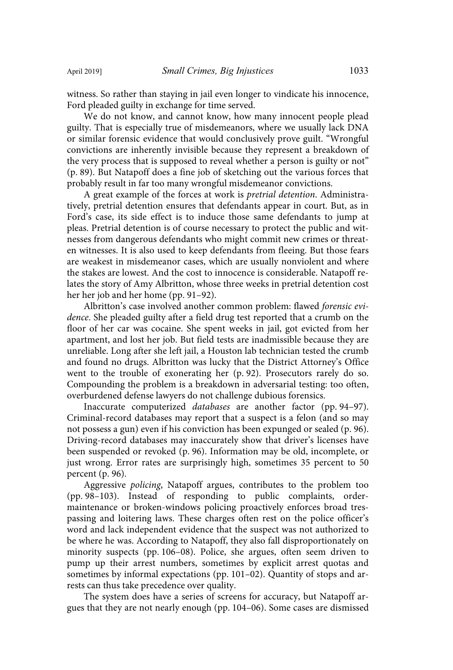witness. So rather than staying in jail even longer to vindicate his innocence, Ford pleaded guilty in exchange for time served.

We do not know, and cannot know, how many innocent people plead guilty. That is especially true of misdemeanors, where we usually lack DNA or similar forensic evidence that would conclusively prove guilt. "Wrongful convictions are inherently invisible because they represent a breakdown of the very process that is supposed to reveal whether a person is guilty or not" (p. 89). But Natapoff does a fine job of sketching out the various forces that probably result in far too many wrongful misdemeanor convictions.

A great example of the forces at work is pretrial detention. Administratively, pretrial detention ensures that defendants appear in court. But, as in Ford's case, its side effect is to induce those same defendants to jump at pleas. Pretrial detention is of course necessary to protect the public and witnesses from dangerous defendants who might commit new crimes or threaten witnesses. It is also used to keep defendants from fleeing. But those fears are weakest in misdemeanor cases, which are usually nonviolent and where the stakes are lowest. And the cost to innocence is considerable. Natapoff relates the story of Amy Albritton, whose three weeks in pretrial detention cost her her job and her home (pp. 91–92).

Albritton's case involved another common problem: flawed forensic evidence. She pleaded guilty after a field drug test reported that a crumb on the floor of her car was cocaine. She spent weeks in jail, got evicted from her apartment, and lost her job. But field tests are inadmissible because they are unreliable. Long after she left jail, a Houston lab technician tested the crumb and found no drugs. Albritton was lucky that the District Attorney's Office went to the trouble of exonerating her (p. 92). Prosecutors rarely do so. Compounding the problem is a breakdown in adversarial testing: too often, overburdened defense lawyers do not challenge dubious forensics.

Inaccurate computerized databases are another factor (pp. 94–97). Criminal-record databases may report that a suspect is a felon (and so may not possess a gun) even if his conviction has been expunged or sealed (p. 96). Driving-record databases may inaccurately show that driver's licenses have been suspended or revoked (p. 96). Information may be old, incomplete, or just wrong. Error rates are surprisingly high, sometimes 35 percent to 50 percent (p. 96).

Aggressive policing, Natapoff argues, contributes to the problem too (pp. 98–103). Instead of responding to public complaints, ordermaintenance or broken-windows policing proactively enforces broad trespassing and loitering laws. These charges often rest on the police officer's word and lack independent evidence that the suspect was not authorized to be where he was. According to Natapoff, they also fall disproportionately on minority suspects (pp. 106–08). Police, she argues, often seem driven to pump up their arrest numbers, sometimes by explicit arrest quotas and sometimes by informal expectations (pp. 101–02). Quantity of stops and arrests can thus take precedence over quality.

The system does have a series of screens for accuracy, but Natapoff argues that they are not nearly enough (pp. 104–06). Some cases are dismissed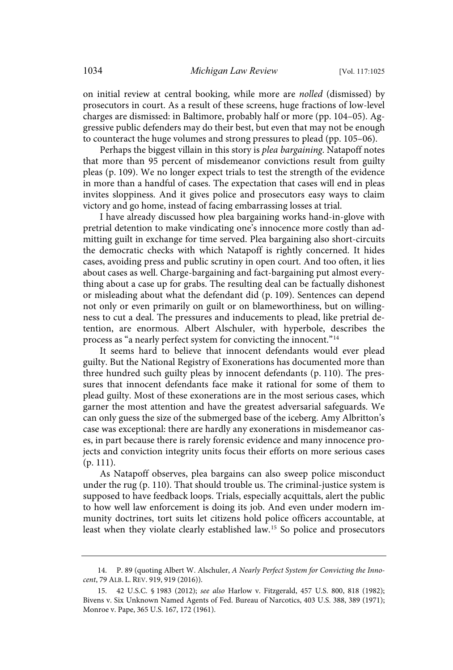on initial review at central booking, while more are nolled (dismissed) by prosecutors in court. As a result of these screens, huge fractions of low-level charges are dismissed: in Baltimore, probably half or more (pp. 104–05). Aggressive public defenders may do their best, but even that may not be enough to counteract the huge volumes and strong pressures to plead (pp. 105–06).

Perhaps the biggest villain in this story is plea bargaining. Natapoff notes that more than 95 percent of misdemeanor convictions result from guilty pleas (p. 109). We no longer expect trials to test the strength of the evidence in more than a handful of cases. The expectation that cases will end in pleas invites sloppiness. And it gives police and prosecutors easy ways to claim victory and go home, instead of facing embarrassing losses at trial.

I have already discussed how plea bargaining works hand-in-glove with pretrial detention to make vindicating one's innocence more costly than admitting guilt in exchange for time served. Plea bargaining also short-circuits the democratic checks with which Natapoff is rightly concerned. It hides cases, avoiding press and public scrutiny in open court. And too often, it lies about cases as well. Charge-bargaining and fact-bargaining put almost everything about a case up for grabs. The resulting deal can be factually dishonest or misleading about what the defendant did (p. 109). Sentences can depend not only or even primarily on guilt or on blameworthiness, but on willingness to cut a deal. The pressures and inducements to plead, like pretrial detention, are enormous. Albert Alschuler, with hyperbole, describes the process as "a nearly perfect system for convicting the innocent."<sup>14</sup>

It seems hard to believe that innocent defendants would ever plead guilty. But the National Registry of Exonerations has documented more than three hundred such guilty pleas by innocent defendants (p. 110). The pressures that innocent defendants face make it rational for some of them to plead guilty. Most of these exonerations are in the most serious cases, which garner the most attention and have the greatest adversarial safeguards. We can only guess the size of the submerged base of the iceberg. Amy Albritton's case was exceptional: there are hardly any exonerations in misdemeanor cases, in part because there is rarely forensic evidence and many innocence projects and conviction integrity units focus their efforts on more serious cases (p. 111).

As Natapoff observes, plea bargains can also sweep police misconduct under the rug (p. 110). That should trouble us. The criminal-justice system is supposed to have feedback loops. Trials, especially acquittals, alert the public to how well law enforcement is doing its job. And even under modern immunity doctrines, tort suits let citizens hold police officers accountable, at least when they violate clearly established law.<sup>15</sup> So police and prosecutors

<sup>14.</sup> P. 89 (quoting Albert W. Alschuler, A Nearly Perfect System for Convicting the Innocent, 79 ALB. L. REV. 919, 919 (2016)).

<sup>15. 42</sup> U.S.C. § 1983 (2012); see also Harlow v. Fitzgerald, 457 U.S. 800, 818 (1982); Bivens v. Six Unknown Named Agents of Fed. Bureau of Narcotics, 403 U.S. 388, 389 (1971); Monroe v. Pape, 365 U.S. 167, 172 (1961).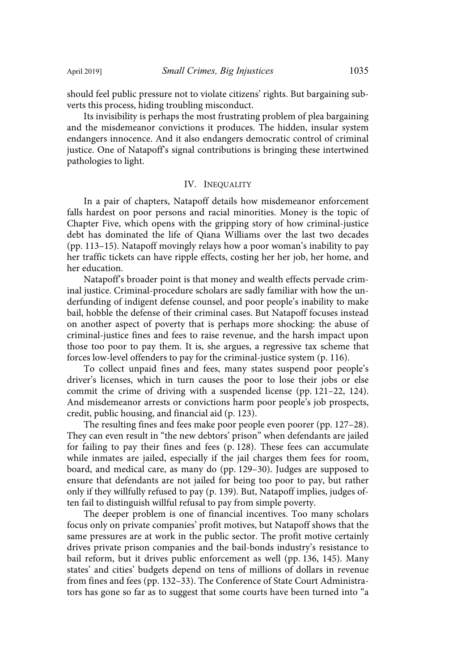should feel public pressure not to violate citizens' rights. But bargaining subverts this process, hiding troubling misconduct.

Its invisibility is perhaps the most frustrating problem of plea bargaining and the misdemeanor convictions it produces. The hidden, insular system endangers innocence. And it also endangers democratic control of criminal justice. One of Natapoff's signal contributions is bringing these intertwined pathologies to light.

## IV. INEQUALITY

In a pair of chapters, Natapoff details how misdemeanor enforcement falls hardest on poor persons and racial minorities. Money is the topic of Chapter Five, which opens with the gripping story of how criminal-justice debt has dominated the life of Qiana Williams over the last two decades (pp. 113–15). Natapoff movingly relays how a poor woman's inability to pay her traffic tickets can have ripple effects, costing her her job, her home, and her education.

Natapoff's broader point is that money and wealth effects pervade criminal justice. Criminal-procedure scholars are sadly familiar with how the underfunding of indigent defense counsel, and poor people's inability to make bail, hobble the defense of their criminal cases. But Natapoff focuses instead on another aspect of poverty that is perhaps more shocking: the abuse of criminal-justice fines and fees to raise revenue, and the harsh impact upon those too poor to pay them. It is, she argues, a regressive tax scheme that forces low-level offenders to pay for the criminal-justice system (p. 116).

To collect unpaid fines and fees, many states suspend poor people's driver's licenses, which in turn causes the poor to lose their jobs or else commit the crime of driving with a suspended license (pp. 121–22, 124). And misdemeanor arrests or convictions harm poor people's job prospects, credit, public housing, and financial aid (p. 123).

The resulting fines and fees make poor people even poorer (pp. 127–28). They can even result in "the new debtors' prison" when defendants are jailed for failing to pay their fines and fees (p. 128). These fees can accumulate while inmates are jailed, especially if the jail charges them fees for room, board, and medical care, as many do (pp. 129–30). Judges are supposed to ensure that defendants are not jailed for being too poor to pay, but rather only if they willfully refused to pay (p. 139). But, Natapoff implies, judges often fail to distinguish willful refusal to pay from simple poverty.

The deeper problem is one of financial incentives. Too many scholars focus only on private companies' profit motives, but Natapoff shows that the same pressures are at work in the public sector. The profit motive certainly drives private prison companies and the bail-bonds industry's resistance to bail reform, but it drives public enforcement as well (pp. 136, 145). Many states' and cities' budgets depend on tens of millions of dollars in revenue from fines and fees (pp. 132–33). The Conference of State Court Administrators has gone so far as to suggest that some courts have been turned into "a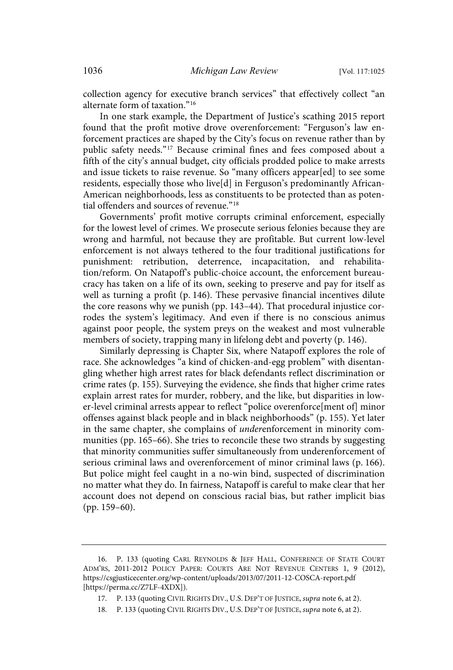collection agency for executive branch services" that effectively collect "an alternate form of taxation."<sup>16</sup>

In one stark example, the Department of Justice's scathing 2015 report found that the profit motive drove overenforcement: "Ferguson's law enforcement practices are shaped by the City's focus on revenue rather than by public safety needs."<sup>17</sup> Because criminal fines and fees composed about a fifth of the city's annual budget, city officials prodded police to make arrests and issue tickets to raise revenue. So "many officers appear[ed] to see some residents, especially those who live[d] in Ferguson's predominantly African-American neighborhoods, less as constituents to be protected than as potential offenders and sources of revenue."<sup>18</sup>

Governments' profit motive corrupts criminal enforcement, especially for the lowest level of crimes. We prosecute serious felonies because they are wrong and harmful, not because they are profitable. But current low-level enforcement is not always tethered to the four traditional justifications for punishment: retribution, deterrence, incapacitation, and rehabilitation/reform. On Natapoff's public-choice account, the enforcement bureaucracy has taken on a life of its own, seeking to preserve and pay for itself as well as turning a profit (p. 146). These pervasive financial incentives dilute the core reasons why we punish (pp. 143–44). That procedural injustice corrodes the system's legitimacy. And even if there is no conscious animus against poor people, the system preys on the weakest and most vulnerable members of society, trapping many in lifelong debt and poverty (p. 146).

Similarly depressing is Chapter Six, where Natapoff explores the role of race. She acknowledges "a kind of chicken-and-egg problem" with disentangling whether high arrest rates for black defendants reflect discrimination or crime rates (p. 155). Surveying the evidence, she finds that higher crime rates explain arrest rates for murder, robbery, and the like, but disparities in lower-level criminal arrests appear to reflect "police overenforce[ment of] minor offenses against black people and in black neighborhoods" (p. 155). Yet later in the same chapter, she complains of underenforcement in minority communities (pp. 165–66). She tries to reconcile these two strands by suggesting that minority communities suffer simultaneously from underenforcement of serious criminal laws and overenforcement of minor criminal laws (p. 166). But police might feel caught in a no-win bind, suspected of discrimination no matter what they do. In fairness, Natapoff is careful to make clear that her account does not depend on conscious racial bias, but rather implicit bias (pp. 159–60).

<sup>16.</sup> P. 133 (quoting CARL REYNOLDS & JEFF HALL, CONFERENCE OF STATE COURT ADM'RS, 2011-2012 POLICY PAPER: COURTS ARE NOT REVENUE CENTERS 1, 9 (2012), https://csgjusticecenter.org/wp-content/uploads/2013/07/2011-12-COSCA-report.pdf [https://perma.cc/Z7LF-4XDX]).

<sup>17.</sup> P. 133 (quoting CIVIL RIGHTS DIV., U.S. DEP'T OF JUSTICE, supra note 6, at 2).

<sup>18.</sup> P. 133 (quoting CIVIL RIGHTS DIV., U.S. DEP'T OF JUSTICE, supra note 6, at 2).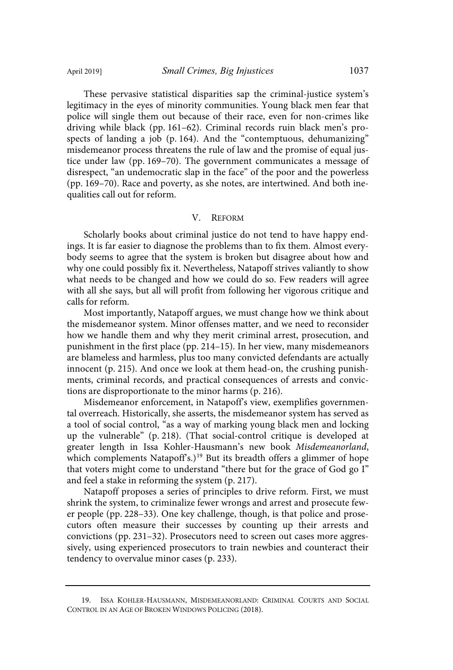These pervasive statistical disparities sap the criminal-justice system's legitimacy in the eyes of minority communities. Young black men fear that police will single them out because of their race, even for non-crimes like driving while black (pp. 161–62). Criminal records ruin black men's prospects of landing a job (p. 164). And the "contemptuous, dehumanizing" misdemeanor process threatens the rule of law and the promise of equal justice under law (pp. 169–70). The government communicates a message of disrespect, "an undemocratic slap in the face" of the poor and the powerless (pp. 169–70). Race and poverty, as she notes, are intertwined. And both inequalities call out for reform.

### V. REFORM

Scholarly books about criminal justice do not tend to have happy endings. It is far easier to diagnose the problems than to fix them. Almost everybody seems to agree that the system is broken but disagree about how and why one could possibly fix it. Nevertheless, Natapoff strives valiantly to show what needs to be changed and how we could do so. Few readers will agree with all she says, but all will profit from following her vigorous critique and calls for reform.

Most importantly, Natapoff argues, we must change how we think about the misdemeanor system. Minor offenses matter, and we need to reconsider how we handle them and why they merit criminal arrest, prosecution, and punishment in the first place (pp. 214–15). In her view, many misdemeanors are blameless and harmless, plus too many convicted defendants are actually innocent (p. 215). And once we look at them head-on, the crushing punishments, criminal records, and practical consequences of arrests and convictions are disproportionate to the minor harms (p. 216).

Misdemeanor enforcement, in Natapoff's view, exemplifies governmental overreach. Historically, she asserts, the misdemeanor system has served as a tool of social control, "as a way of marking young black men and locking up the vulnerable" (p. 218). (That social-control critique is developed at greater length in Issa Kohler-Hausmann's new book Misdemeanorland, which complements Natapoff's.)<sup>19</sup> But its breadth offers a glimmer of hope that voters might come to understand "there but for the grace of God go I" and feel a stake in reforming the system (p. 217).

Natapoff proposes a series of principles to drive reform. First, we must shrink the system, to criminalize fewer wrongs and arrest and prosecute fewer people (pp. 228–33). One key challenge, though, is that police and prosecutors often measure their successes by counting up their arrests and convictions (pp. 231–32). Prosecutors need to screen out cases more aggressively, using experienced prosecutors to train newbies and counteract their tendency to overvalue minor cases (p. 233).

<sup>19.</sup> ISSA KOHLER-HAUSMANN, MISDEMEANORLAND: CRIMINAL COURTS AND SOCIAL CONTROL IN AN AGE OF BROKEN WINDOWS POLICING (2018).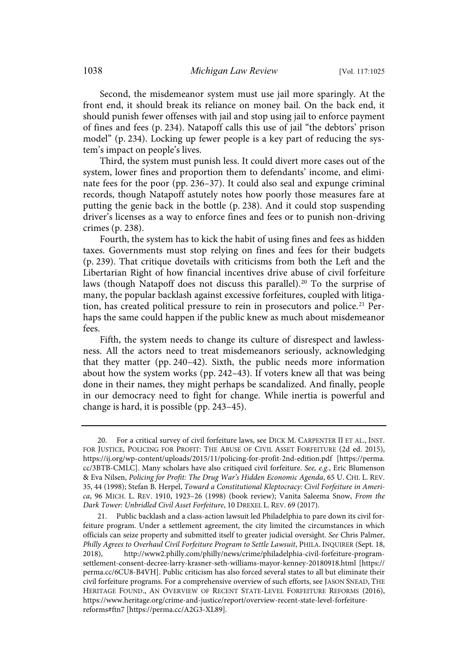Second, the misdemeanor system must use jail more sparingly. At the front end, it should break its reliance on money bail. On the back end, it should punish fewer offenses with jail and stop using jail to enforce payment of fines and fees (p. 234). Natapoff calls this use of jail "the debtors' prison model" (p. 234). Locking up fewer people is a key part of reducing the system's impact on people's lives.

Third, the system must punish less. It could divert more cases out of the system, lower fines and proportion them to defendants' income, and eliminate fees for the poor (pp. 236–37). It could also seal and expunge criminal records, though Natapoff astutely notes how poorly those measures fare at putting the genie back in the bottle (p. 238). And it could stop suspending driver's licenses as a way to enforce fines and fees or to punish non-driving crimes (p. 238).

Fourth, the system has to kick the habit of using fines and fees as hidden taxes. Governments must stop relying on fines and fees for their budgets (p. 239). That critique dovetails with criticisms from both the Left and the Libertarian Right of how financial incentives drive abuse of civil forfeiture laws (though Natapoff does not discuss this parallel).<sup>20</sup> To the surprise of many, the popular backlash against excessive forfeitures, coupled with litigation, has created political pressure to rein in prosecutors and police.<sup>21</sup> Perhaps the same could happen if the public knew as much about misdemeanor fees.

Fifth, the system needs to change its culture of disrespect and lawlessness. All the actors need to treat misdemeanors seriously, acknowledging that they matter (pp. 240–42). Sixth, the public needs more information about how the system works (pp. 242–43). If voters knew all that was being done in their names, they might perhaps be scandalized. And finally, people in our democracy need to fight for change. While inertia is powerful and change is hard, it is possible (pp. 243–45).

<sup>20.</sup> For a critical survey of civil forfeiture laws, see DICK M. CARPENTER II ET AL., INST. FOR JUSTICE, POLICING FOR PROFIT: THE ABUSE OF CIVIL ASSET FORFEITURE (2d ed. 2015), https://ij.org/wp-content/uploads/2015/11/policing-for-profit-2nd-edition.pdf [https://perma. cc/3BTB-CMLC]. Many scholars have also critiqued civil forfeiture. See, e.g., Eric Blumenson & Eva Nilsen, Policing for Profit: The Drug War's Hidden Economic Agenda, 65 U. CHI. L. REV. 35, 44 (1998); Stefan B. Herpel, Toward a Constitutional Kleptocracy: Civil Forfeiture in America, 96 MICH. L. REV. 1910, 1923–26 (1998) (book review); Vanita Saleema Snow, From the Dark Tower: Unbridled Civil Asset Forfeiture, 10 DREXEL L. REV. 69 (2017).

<sup>21.</sup> Public backlash and a class-action lawsuit led Philadelphia to pare down its civil forfeiture program. Under a settlement agreement, the city limited the circumstances in which officials can seize property and submitted itself to greater judicial oversight. See Chris Palmer, Philly Agrees to Overhaul Civil Forfeiture Program to Settle Lawsuit, PHILA. INQUIRER (Sept. 18, 2018), http://www2.philly.com/philly/news/crime/philadelphia-civil-forfeiture-programsettlement-consent-decree-larry-krasner-seth-williams-mayor-kenney-20180918.html [https:// perma.cc/6CU8-B4VH]. Public criticism has also forced several states to all but eliminate their civil forfeiture programs. For a comprehensive overview of such efforts, see JASON SNEAD, THE HERITAGE FOUND., AN OVERVIEW OF RECENT STATE-LEVEL FORFEITURE REFORMS (2016), https://www.heritage.org/crime-and-justice/report/overview-recent-state-level-forfeiturereforms#ftn7 [https://perma.cc/A2G3-XL89].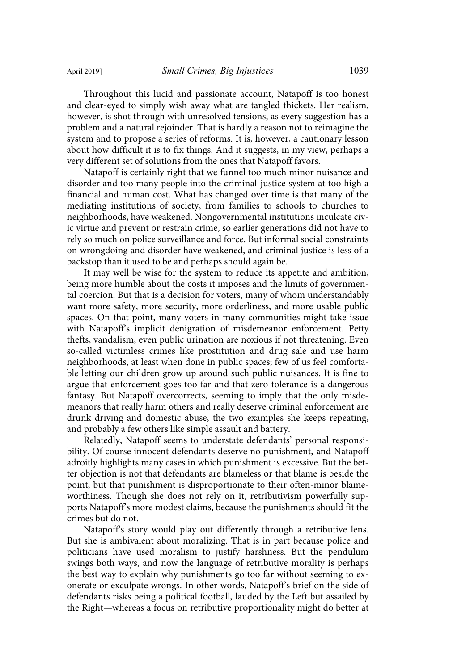Throughout this lucid and passionate account, Natapoff is too honest and clear-eyed to simply wish away what are tangled thickets. Her realism, however, is shot through with unresolved tensions, as every suggestion has a problem and a natural rejoinder. That is hardly a reason not to reimagine the system and to propose a series of reforms. It is, however, a cautionary lesson about how difficult it is to fix things. And it suggests, in my view, perhaps a very different set of solutions from the ones that Natapoff favors.

Natapoff is certainly right that we funnel too much minor nuisance and disorder and too many people into the criminal-justice system at too high a financial and human cost. What has changed over time is that many of the mediating institutions of society, from families to schools to churches to neighborhoods, have weakened. Nongovernmental institutions inculcate civic virtue and prevent or restrain crime, so earlier generations did not have to rely so much on police surveillance and force. But informal social constraints on wrongdoing and disorder have weakened, and criminal justice is less of a backstop than it used to be and perhaps should again be.

It may well be wise for the system to reduce its appetite and ambition, being more humble about the costs it imposes and the limits of governmental coercion. But that is a decision for voters, many of whom understandably want more safety, more security, more orderliness, and more usable public spaces. On that point, many voters in many communities might take issue with Natapoff's implicit denigration of misdemeanor enforcement. Petty thefts, vandalism, even public urination are noxious if not threatening. Even so-called victimless crimes like prostitution and drug sale and use harm neighborhoods, at least when done in public spaces; few of us feel comfortable letting our children grow up around such public nuisances. It is fine to argue that enforcement goes too far and that zero tolerance is a dangerous fantasy. But Natapoff overcorrects, seeming to imply that the only misdemeanors that really harm others and really deserve criminal enforcement are drunk driving and domestic abuse, the two examples she keeps repeating, and probably a few others like simple assault and battery.

Relatedly, Natapoff seems to understate defendants' personal responsibility. Of course innocent defendants deserve no punishment, and Natapoff adroitly highlights many cases in which punishment is excessive. But the better objection is not that defendants are blameless or that blame is beside the point, but that punishment is disproportionate to their often-minor blameworthiness. Though she does not rely on it, retributivism powerfully supports Natapoff's more modest claims, because the punishments should fit the crimes but do not.

Natapoff's story would play out differently through a retributive lens. But she is ambivalent about moralizing. That is in part because police and politicians have used moralism to justify harshness. But the pendulum swings both ways, and now the language of retributive morality is perhaps the best way to explain why punishments go too far without seeming to exonerate or exculpate wrongs. In other words, Natapoff's brief on the side of defendants risks being a political football, lauded by the Left but assailed by the Right—whereas a focus on retributive proportionality might do better at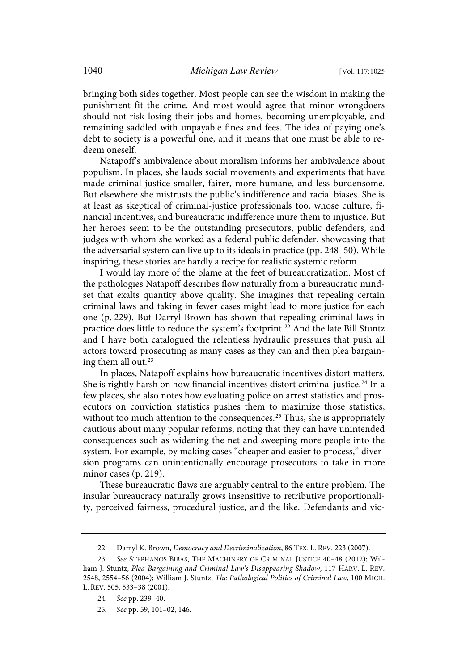bringing both sides together. Most people can see the wisdom in making the punishment fit the crime. And most would agree that minor wrongdoers should not risk losing their jobs and homes, becoming unemployable, and remaining saddled with unpayable fines and fees. The idea of paying one's debt to society is a powerful one, and it means that one must be able to redeem oneself.

Natapoff's ambivalence about moralism informs her ambivalence about populism. In places, she lauds social movements and experiments that have made criminal justice smaller, fairer, more humane, and less burdensome. But elsewhere she mistrusts the public's indifference and racial biases. She is at least as skeptical of criminal-justice professionals too, whose culture, financial incentives, and bureaucratic indifference inure them to injustice. But her heroes seem to be the outstanding prosecutors, public defenders, and judges with whom she worked as a federal public defender, showcasing that the adversarial system can live up to its ideals in practice (pp. 248–50). While inspiring, these stories are hardly a recipe for realistic systemic reform.

I would lay more of the blame at the feet of bureaucratization. Most of the pathologies Natapoff describes flow naturally from a bureaucratic mindset that exalts quantity above quality. She imagines that repealing certain criminal laws and taking in fewer cases might lead to more justice for each one (p. 229). But Darryl Brown has shown that repealing criminal laws in practice does little to reduce the system's footprint.<sup>22</sup> And the late Bill Stuntz and I have both catalogued the relentless hydraulic pressures that push all actors toward prosecuting as many cases as they can and then plea bargaining them all out. $23$ 

In places, Natapoff explains how bureaucratic incentives distort matters. She is rightly harsh on how financial incentives distort criminal justice.<sup>24</sup> In a few places, she also notes how evaluating police on arrest statistics and prosecutors on conviction statistics pushes them to maximize those statistics, without too much attention to the consequences.<sup>25</sup> Thus, she is appropriately cautious about many popular reforms, noting that they can have unintended consequences such as widening the net and sweeping more people into the system. For example, by making cases "cheaper and easier to process," diversion programs can unintentionally encourage prosecutors to take in more minor cases (p. 219).

These bureaucratic flaws are arguably central to the entire problem. The insular bureaucracy naturally grows insensitive to retributive proportionality, perceived fairness, procedural justice, and the like. Defendants and vic-

<sup>22.</sup> Darryl K. Brown, Democracy and Decriminalization, 86 TEX. L. REV. 223 (2007).

<sup>23.</sup> See STEPHANOS BIBAS, THE MACHINERY OF CRIMINAL JUSTICE 40-48 (2012); William J. Stuntz, Plea Bargaining and Criminal Law's Disappearing Shadow, 117 HARV. L. REV. 2548, 2554–56 (2004); William J. Stuntz, The Pathological Politics of Criminal Law, 100 MICH. L. REV. 505, 533–38 (2001).

<sup>24.</sup> See pp. 239-40.

<sup>25.</sup> See pp. 59, 101-02, 146.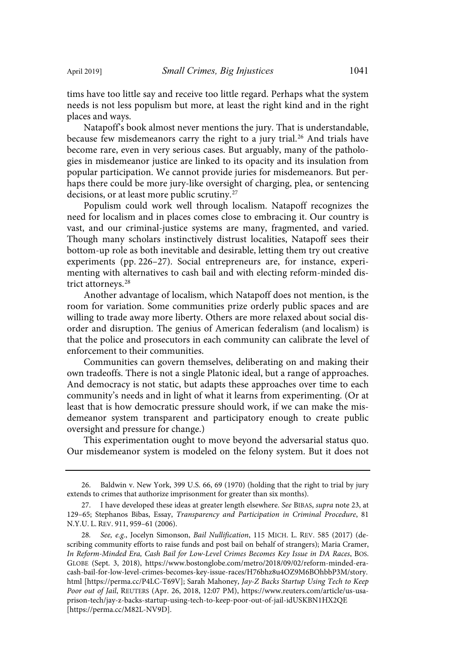tims have too little say and receive too little regard. Perhaps what the system needs is not less populism but more, at least the right kind and in the right places and ways.

Natapoff's book almost never mentions the jury. That is understandable, because few misdemeanors carry the right to a jury trial.<sup>26</sup> And trials have become rare, even in very serious cases. But arguably, many of the pathologies in misdemeanor justice are linked to its opacity and its insulation from popular participation. We cannot provide juries for misdemeanors. But perhaps there could be more jury-like oversight of charging, plea, or sentencing decisions, or at least more public scrutiny.<sup>27</sup>

Populism could work well through localism. Natapoff recognizes the need for localism and in places comes close to embracing it. Our country is vast, and our criminal-justice systems are many, fragmented, and varied. Though many scholars instinctively distrust localities, Natapoff sees their bottom-up role as both inevitable and desirable, letting them try out creative experiments (pp. 226–27). Social entrepreneurs are, for instance, experimenting with alternatives to cash bail and with electing reform-minded district attorneys.<sup>28</sup>

Another advantage of localism, which Natapoff does not mention, is the room for variation. Some communities prize orderly public spaces and are willing to trade away more liberty. Others are more relaxed about social disorder and disruption. The genius of American federalism (and localism) is that the police and prosecutors in each community can calibrate the level of enforcement to their communities.

Communities can govern themselves, deliberating on and making their own tradeoffs. There is not a single Platonic ideal, but a range of approaches. And democracy is not static, but adapts these approaches over time to each community's needs and in light of what it learns from experimenting. (Or at least that is how democratic pressure should work, if we can make the misdemeanor system transparent and participatory enough to create public oversight and pressure for change.)

This experimentation ought to move beyond the adversarial status quo. Our misdemeanor system is modeled on the felony system. But it does not

<sup>26.</sup> Baldwin v. New York, 399 U.S. 66, 69 (1970) (holding that the right to trial by jury extends to crimes that authorize imprisonment for greater than six months).

<sup>27.</sup> I have developed these ideas at greater length elsewhere. See BIBAS, supra note 23, at 129–65; Stephanos Bibas, Essay, Transparency and Participation in Criminal Procedure, 81 N.Y.U. L. REV. 911, 959–61 (2006).

<sup>28.</sup> See, e.g., Jocelyn Simonson, Bail Nullification, 115 MICH. L. REV. 585 (2017) (describing community efforts to raise funds and post bail on behalf of strangers); Maria Cramer, In Reform-Minded Era, Cash Bail for Low-Level Crimes Becomes Key Issue in DA Races, BOS. GLOBE (Sept. 3, 2018), https://www.bostonglobe.com/metro/2018/09/02/reform-minded-eracash-bail-for-low-level-crimes-becomes-key-issue-races/H76bhz8u4OZ9M6BOhbbP3M/story. html [https://perma.cc/P4LC-T69V]; Sarah Mahoney, Jay-Z Backs Startup Using Tech to Keep Poor out of Jail, REUTERS (Apr. 26, 2018, 12:07 PM), https://www.reuters.com/article/us-usaprison-tech/jay-z-backs-startup-using-tech-to-keep-poor-out-of-jail-idUSKBN1HX2QE [https://perma.cc/M82L-NV9D].